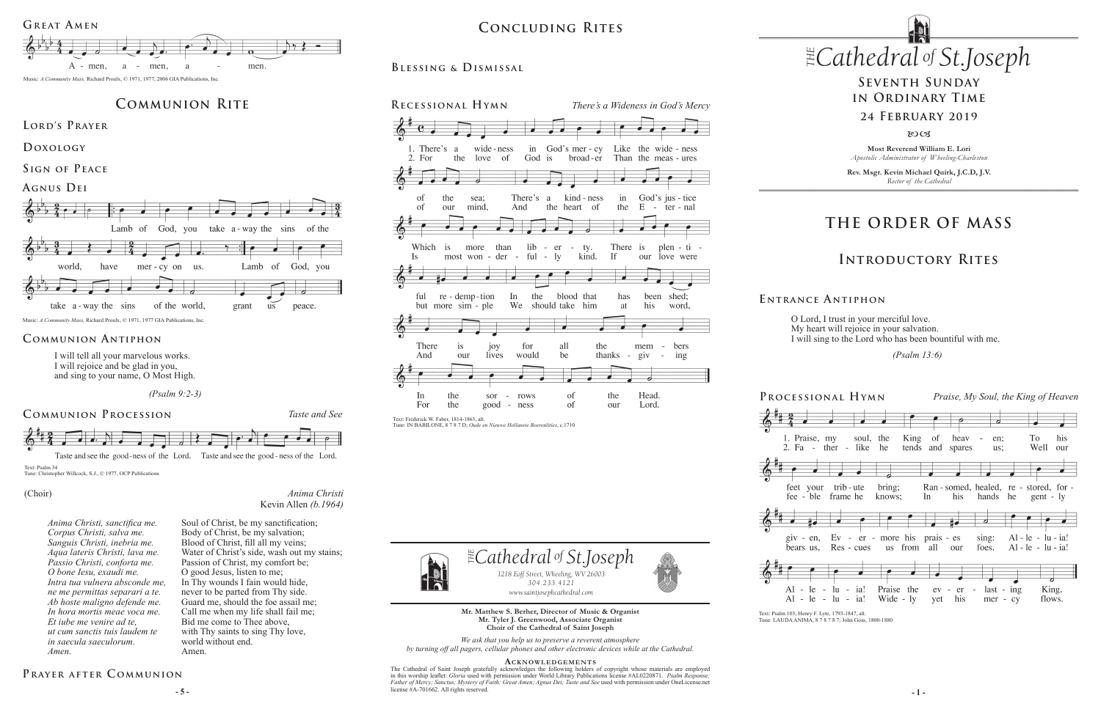# **THE ORDER OF MASS**

# **Introductory Rites**

# **Seventh Sunday in Ordinary Time**

#### **24 February 2019**

 $80C<sub>3</sub>$ 



O Lord, I trust in your merciful love. My heart will rejoice in your salvation. I will sing to the Lord who has been bountiful with me.

 *(Psalm 13:6)*

**E ntrance A ntiphon**

## **Blessing & Dismissal**



**Most Reverend William E. Lori** *Apostolic Administrator of Wheeling-Charleston*

**Rev. Msgr. Kevin Michael Quirk, J.C.D, J.V.** *Rector of the Cathedral*







**5** – **5** – **a i c c s i c c c f c** *c* **c f c** *c c c f c <i>c c c c c f c c c c f c c f c <i>c f c f c* The Cathedral of Saint Joseph gratefully acknowledges the following holders of copyright whose materials are employed in this worship leaflet: *Gloria* used with permission under World Library Publications license #AL0220871. *Psalm Response; Father of Mercy; Sanctus; Mystery of Faith; Great Amen; Agnus Dei; Taste and See used with permission under OneLicense.net* license #A-701662. All rights reserved.

## PRAYER AFTER COMMUNION

**Mr. Matthew S. Berher, Director of Music & Organist Mr. Tyler J. Greenwood, Associate Organist Choir of the Cathedral of Saint Joseph**

*We ask that you help us to preserve a reverent atmosphere by turning off all pagers, cellular phones and other electronic devices while at the Cathedral.*

#### **Acknowledgement s**

Text: Psalm 103; Henry F. Lyte, 1793-1847, alt. Tune: LAUDA ANIMA, 8 7 8 7 8 7; John Goss, 1800-1880

Text: Frederick W. Faber, 1814-1863, alt. Tune: IN BABILONE, 8 7 8 7 D; *Oude en Nieuwe Hollanste Boerenlities*, c.1710



I will tell all your marvelous works. I will rejoice and be glad in you, and sing to your name, O Most High.

 *(Psalm 9:2-3)*

**Communion Antiphon**

# **Communion Rite**

#### **Agnus Dei**



**Lord's Prayer**

**Doxology** 

**Sign of Peace** 



Taste and see the good-ness of the Lord. Taste and see the good-ness of the Lord.

Text: Psalm 34

Tune: Christopher Willcock, S.J., © 1977, OCP Publications

*Anima Christi*

Kevin Allen *(b.1964)*

# $CONCLUDING RITES$  $CONCLUDING RITES$

#### (Choir)

Soul of Christ, be my sanctification; Body of Christ, be my salvation; Blood of Christ, fill all my veins; Water of Christ's side, wash out my stains; Passion of Christ, my comfort be; O good Jesus, listen to me; In Thy wounds I fain would hide, never to be parted from Thy side. Guard me, should the foe assail me; Call me when my life shall fail me; Bid me come to Thee above, with Thy saints to sing Thy love,

world without end.



Amen.

*Anima Christi, sanctifica me. Corpus Christi, salva me. Sanguis Christi, inebria me. Aqua lateris Christi, lava me. Passio Christi, conforta me. O bone Iesu, exaudi me. Intra tua vulnera absconde me, ne me permittas separari a te. Ab hoste maligno defende me. In hora mortis meae voca me. Et iube me venire ad te, ut cum sanctis tuis laudem te in saecula saeculorum. Amen.*